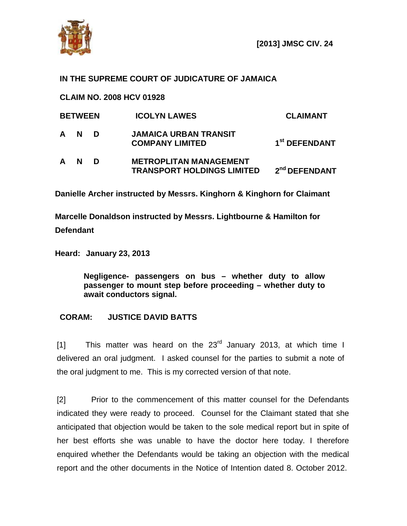

## **IN THE SUPREME COURT OF JUDICATURE OF JAMAICA**

**CLAIM NO. 2008 HCV 01928**

| <b>BETWEEN</b> |          |   | <b>ICOLYN LAWES</b>                                                | <b>CLAIMANT</b>           |
|----------------|----------|---|--------------------------------------------------------------------|---------------------------|
| A              | N        | D | <b>JAMAICA URBAN TRANSIT</b><br><b>COMPANY LIMITED</b>             | 1 <sup>st</sup> DEFENDANT |
| A              | <b>N</b> | D | <b>METROPLITAN MANAGEMENT</b><br><b>TRANSPORT HOLDINGS LIMITED</b> | 2 <sup>nd</sup> DEFENDANT |

**Danielle Archer instructed by Messrs. Kinghorn & Kinghorn for Claimant**

**Marcelle Donaldson instructed by Messrs. Lightbourne & Hamilton for Defendant**

**Heard: January 23, 2013**

**Negligence- passengers on bus – whether duty to allow passenger to mount step before proceeding – whether duty to await conductors signal.**

## **CORAM: JUSTICE DAVID BATTS**

[1] This matter was heard on the  $23<sup>rd</sup>$  January 2013, at which time I delivered an oral judgment. I asked counsel for the parties to submit a note of the oral judgment to me. This is my corrected version of that note.

[2] Prior to the commencement of this matter counsel for the Defendants indicated they were ready to proceed. Counsel for the Claimant stated that she anticipated that objection would be taken to the sole medical report but in spite of her best efforts she was unable to have the doctor here today. I therefore enquired whether the Defendants would be taking an objection with the medical report and the other documents in the Notice of Intention dated 8. October 2012.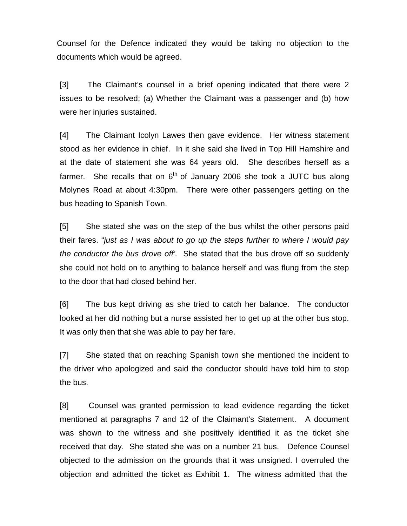Counsel for the Defence indicated they would be taking no objection to the documents which would be agreed.

[3] The Claimant's counsel in a brief opening indicated that there were 2 issues to be resolved; (a) Whether the Claimant was a passenger and (b) how were her injuries sustained.

[4] The Claimant Icolyn Lawes then gave evidence. Her witness statement stood as her evidence in chief. In it she said she lived in Top Hill Hamshire and at the date of statement she was 64 years old. She describes herself as a farmer. She recalls that on  $6<sup>th</sup>$  of January 2006 she took a JUTC bus along Molynes Road at about 4:30pm. There were other passengers getting on the bus heading to Spanish Town.

[5] She stated she was on the step of the bus whilst the other persons paid their fares. "*just as I was about to go up the steps further to where I would pay the conductor the bus drove off'*. She stated that the bus drove off so suddenly she could not hold on to anything to balance herself and was flung from the step to the door that had closed behind her.

[6] The bus kept driving as she tried to catch her balance. The conductor looked at her did nothing but a nurse assisted her to get up at the other bus stop. It was only then that she was able to pay her fare.

[7] She stated that on reaching Spanish town she mentioned the incident to the driver who apologized and said the conductor should have told him to stop the bus.

[8] Counsel was granted permission to lead evidence regarding the ticket mentioned at paragraphs 7 and 12 of the Claimant's Statement. A document was shown to the witness and she positively identified it as the ticket she received that day. She stated she was on a number 21 bus. Defence Counsel objected to the admission on the grounds that it was unsigned. I overruled the objection and admitted the ticket as Exhibit 1. The witness admitted that the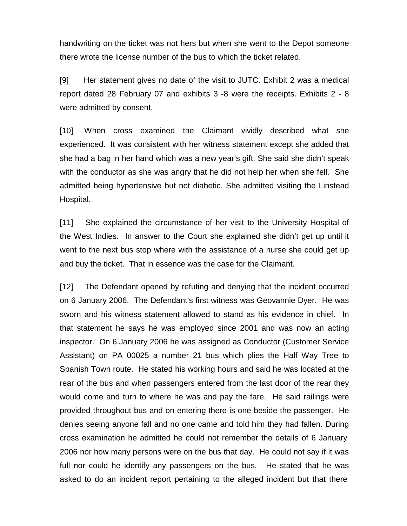handwriting on the ticket was not hers but when she went to the Depot someone there wrote the license number of the bus to which the ticket related.

[9] Her statement gives no date of the visit to JUTC. Exhibit 2 was a medical report dated 28 February 07 and exhibits 3 -8 were the receipts. Exhibits 2 - 8 were admitted by consent.

[10] When cross examined the Claimant vividly described what she experienced. It was consistent with her witness statement except she added that she had a bag in her hand which was a new year's gift. She said she didn't speak with the conductor as she was angry that he did not help her when she fell. She admitted being hypertensive but not diabetic. She admitted visiting the Linstead Hospital.

[11] She explained the circumstance of her visit to the University Hospital of the West Indies. In answer to the Court she explained she didn't get up until it went to the next bus stop where with the assistance of a nurse she could get up and buy the ticket. That in essence was the case for the Claimant.

[12] The Defendant opened by refuting and denying that the incident occurred on 6 January 2006. The Defendant's first witness was Geovannie Dyer. He was sworn and his witness statement allowed to stand as his evidence in chief. In that statement he says he was employed since 2001 and was now an acting inspector. On 6.January 2006 he was assigned as Conductor (Customer Service Assistant) on PA 00025 a number 21 bus which plies the Half Way Tree to Spanish Town route. He stated his working hours and said he was located at the rear of the bus and when passengers entered from the last door of the rear they would come and turn to where he was and pay the fare. He said railings were provided throughout bus and on entering there is one beside the passenger. He denies seeing anyone fall and no one came and told him they had fallen. During cross examination he admitted he could not remember the details of 6 January 2006 nor how many persons were on the bus that day. He could not say if it was full nor could he identify any passengers on the bus. He stated that he was asked to do an incident report pertaining to the alleged incident but that there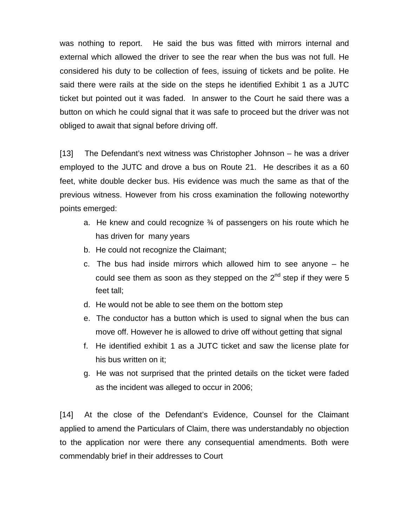was nothing to report. He said the bus was fitted with mirrors internal and external which allowed the driver to see the rear when the bus was not full. He considered his duty to be collection of fees, issuing of tickets and be polite. He said there were rails at the side on the steps he identified Exhibit 1 as a JUTC ticket but pointed out it was faded. In answer to the Court he said there was a button on which he could signal that it was safe to proceed but the driver was not obliged to await that signal before driving off.

[13] The Defendant's next witness was Christopher Johnson – he was a driver employed to the JUTC and drove a bus on Route 21. He describes it as a 60 feet, white double decker bus. His evidence was much the same as that of the previous witness. However from his cross examination the following noteworthy points emerged:

- a. He knew and could recognize ¾ of passengers on his route which he has driven for many years
- b. He could not recognize the Claimant;
- c. The bus had inside mirrors which allowed him to see anyone he could see them as soon as they stepped on the  $2<sup>nd</sup>$  step if they were 5 feet tall;
- d. He would not be able to see them on the bottom step
- e. The conductor has a button which is used to signal when the bus can move off. However he is allowed to drive off without getting that signal
- f. He identified exhibit 1 as a JUTC ticket and saw the license plate for his bus written on it;
- g. He was not surprised that the printed details on the ticket were faded as the incident was alleged to occur in 2006;

[14] At the close of the Defendant's Evidence, Counsel for the Claimant applied to amend the Particulars of Claim, there was understandably no objection to the application nor were there any consequential amendments. Both were commendably brief in their addresses to Court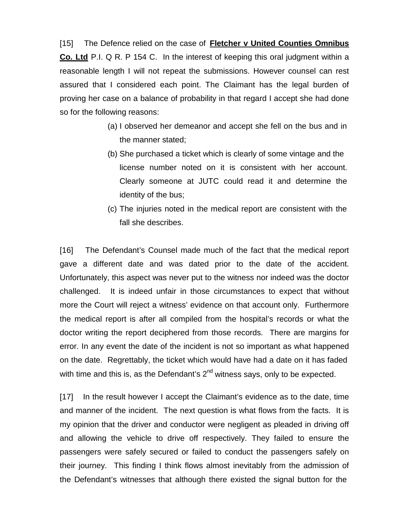[15] The Defence relied on the case of **Fletcher v United Counties Omnibus Co. Ltd** P.I. Q R. P 154 C. In the interest of keeping this oral judgment within a reasonable length I will not repeat the submissions. However counsel can rest assured that I considered each point. The Claimant has the legal burden of proving her case on a balance of probability in that regard I accept she had done so for the following reasons:

- (a) I observed her demeanor and accept she fell on the bus and in the manner stated;
- (b) She purchased a ticket which is clearly of some vintage and the license number noted on it is consistent with her account. Clearly someone at JUTC could read it and determine the identity of the bus;
- (c) The injuries noted in the medical report are consistent with the fall she describes.

[16] The Defendant's Counsel made much of the fact that the medical report gave a different date and was dated prior to the date of the accident. Unfortunately, this aspect was never put to the witness nor indeed was the doctor challenged. It is indeed unfair in those circumstances to expect that without more the Court will reject a witness' evidence on that account only. Furthermore the medical report is after all compiled from the hospital's records or what the doctor writing the report deciphered from those records. There are margins for error. In any event the date of the incident is not so important as what happened on the date. Regrettably, the ticket which would have had a date on it has faded with time and this is, as the Defendant's  $2^{nd}$  witness says, only to be expected.

[17] In the result however I accept the Claimant's evidence as to the date, time and manner of the incident. The next question is what flows from the facts. It is my opinion that the driver and conductor were negligent as pleaded in driving off and allowing the vehicle to drive off respectively. They failed to ensure the passengers were safely secured or failed to conduct the passengers safely on their journey. This finding I think flows almost inevitably from the admission of the Defendant's witnesses that although there existed the signal button for the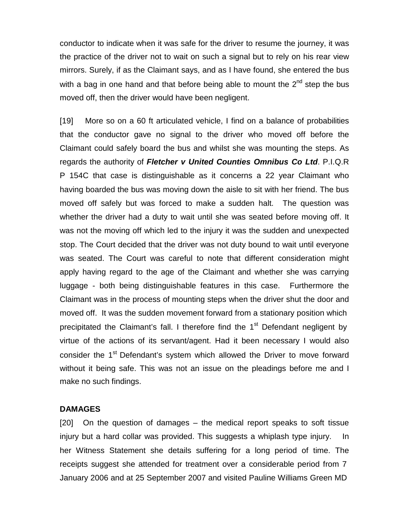conductor to indicate when it was safe for the driver to resume the journey, it was the practice of the driver not to wait on such a signal but to rely on his rear view mirrors. Surely, if as the Claimant says, and as I have found, she entered the bus with a bag in one hand and that before being able to mount the  $2<sup>nd</sup>$  step the bus moved off, then the driver would have been negligent.

[19] More so on a 60 ft articulated vehicle, I find on a balance of probabilities that the conductor gave no signal to the driver who moved off before the Claimant could safely board the bus and whilst she was mounting the steps. As regards the authority of *Fletcher v United Counties Omnibus Co Ltd*. P.I.Q.R P 154C that case is distinguishable as it concerns a 22 year Claimant who having boarded the bus was moving down the aisle to sit with her friend. The bus moved off safely but was forced to make a sudden halt. The question was whether the driver had a duty to wait until she was seated before moving off. It was not the moving off which led to the injury it was the sudden and unexpected stop. The Court decided that the driver was not duty bound to wait until everyone was seated. The Court was careful to note that different consideration might apply having regard to the age of the Claimant and whether she was carrying luggage - both being distinguishable features in this case. Furthermore the Claimant was in the process of mounting steps when the driver shut the door and moved off. It was the sudden movement forward from a stationary position which precipitated the Claimant's fall. I therefore find the 1<sup>st</sup> Defendant negligent by virtue of the actions of its servant/agent. Had it been necessary I would also consider the 1<sup>st</sup> Defendant's system which allowed the Driver to move forward without it being safe. This was not an issue on the pleadings before me and I make no such findings.

## **DAMAGES**

[20] On the question of damages – the medical report speaks to soft tissue injury but a hard collar was provided. This suggests a whiplash type injury. In her Witness Statement she details suffering for a long period of time. The receipts suggest she attended for treatment over a considerable period from 7 January 2006 and at 25 September 2007 and visited Pauline Williams Green MD